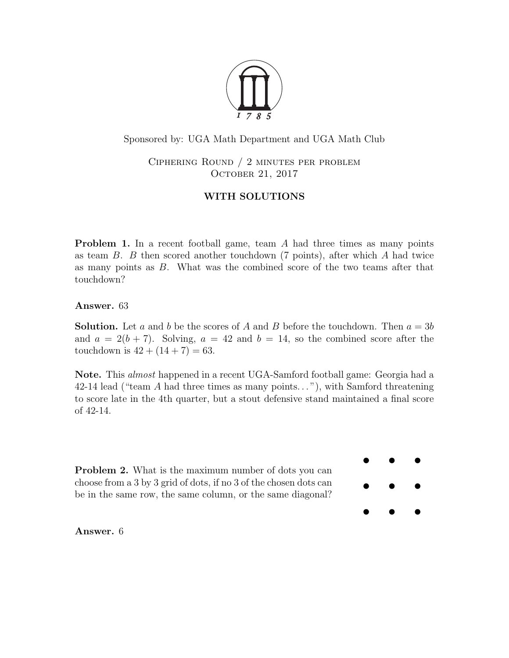

Sponsored by: UGA Math Department and UGA Math Club

Ciphering Round / 2 minutes per problem OCTOBER 21, 2017

## WITH SOLUTIONS

**Problem 1.** In a recent football game, team A had three times as many points as team  $B$ .  $B$  then scored another touchdown (7 points), after which  $A$  had twice as many points as B. What was the combined score of the two teams after that touchdown?

Answer. 63

**Solution.** Let a and b be the scores of A and B before the touchdown. Then  $a = 3b$ and  $a = 2(b + 7)$ . Solving,  $a = 42$  and  $b = 14$ , so the combined score after the touchdown is  $42 + (14 + 7) = 63$ .

Note. This almost happened in a recent UGA-Samford football game: Georgia had a 42-14 lead ("team A had three times as many points. . . "), with Samford threatening to score late in the 4th quarter, but a stout defensive stand maintained a final score of 42-14.

Problem 2. What is the maximum number of dots you can choose from a 3 by 3 grid of dots, if no 3 of the chosen dots can be in the same row, the same column, or the same diagonal?



Answer. 6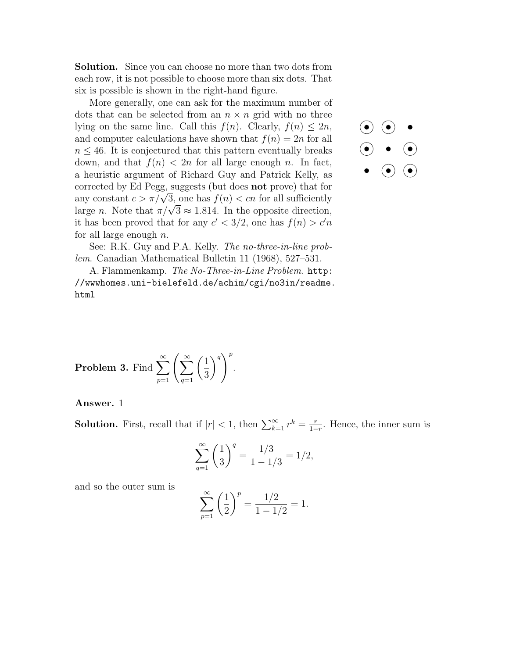**Solution.** Since you can choose no more than two dots from each row, it is not possible to choose more than six dots. That six is possible is shown in the right-hand figure.

More generally, one can ask for the maximum number of dots that can be selected from an  $n \times n$  grid with no three lying on the same line. Call this  $f(n)$ . Clearly,  $f(n) \leq 2n$ , and computer calculations have shown that  $f(n) = 2n$  for all  $n \leq 46$ . It is conjectured that this pattern eventually breaks down, and that  $f(n) < 2n$  for all large enough n. In fact, a heuristic argument of Richard Guy and Patrick Kelly, as corrected by Ed Pegg, suggests (but does not prove) that for corrected by Ed Pegg, suggests (but does **not** prove) that for<br>any constant  $c > \pi/\sqrt{3}$ , one has  $f(n) < cn$  for all sufficiently any constant  $c > \pi/\sqrt{3}$ , one has  $f(n) < cn$  for all sumelently<br>large n. Note that  $\pi/\sqrt{3} \approx 1.814$ . In the opposite direction, it has been proved that for any  $c' < 3/2$ , one has  $f(n) > c'n$ for all large enough  $n$ .



See: R.K. Guy and P.A. Kelly. The no-three-in-line problem. Canadian Mathematical Bulletin 11 (1968), 527–531.

A. Flammenkamp. The No-Three-in-Line Problem. [http:](http://wwwhomes.uni-bielefeld.de/achim/cgi/no3in/readme.html) [//wwwhomes.uni-bielefeld.de/achim/cgi/no3in/readme.](http://wwwhomes.uni-bielefeld.de/achim/cgi/no3in/readme.html) [html](http://wwwhomes.uni-bielefeld.de/achim/cgi/no3in/readme.html)

**Problem 3.** Find 
$$
\sum_{p=1}^{\infty} \left( \sum_{q=1}^{\infty} \left( \frac{1}{3} \right)^q \right)^p.
$$

Answer. 1

**Solution.** First, recall that if  $|r| < 1$ , then  $\sum_{k=1}^{\infty} r^k = \frac{r}{1-r}$  $\frac{r}{1-r}$ . Hence, the inner sum is

$$
\sum_{q=1}^{\infty} \left(\frac{1}{3}\right)^q = \frac{1/3}{1-1/3} = 1/2,
$$

and so the outer sum is

$$
\sum_{p=1}^{\infty} \left(\frac{1}{2}\right)^p = \frac{1/2}{1 - 1/2} = 1.
$$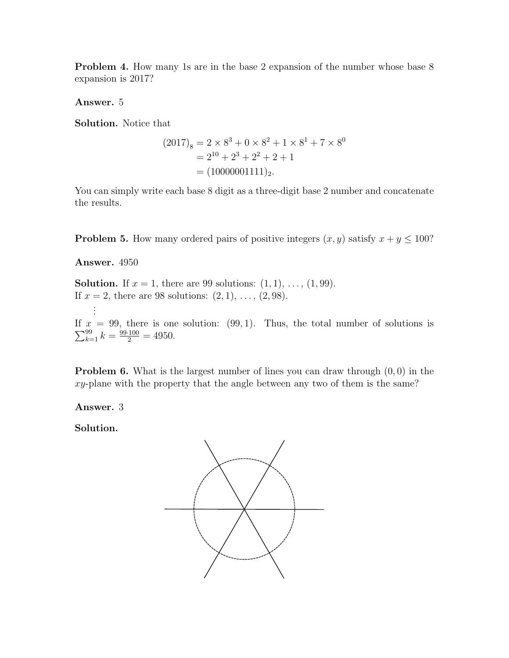**Problem 4.** How many 1s are in the base 2 expansion of the number whose base 8 expansion is 2017?

Answer. 5

Solution. Notice that

$$
(2017)8 = 2 \times 83 + 0 \times 82 + 1 \times 81 + 7 \times 80
$$
  
= 2<sup>10</sup> + 2<sup>3</sup> + 2<sup>2</sup> + 2 + 1  
= (10000001111)<sub>2</sub>.

You can simply write each base 8 digit as a three-digit base 2 number and concatenate the results.

**Problem 5.** How many ordered pairs of positive integers  $(x, y)$  satisfy  $x + y \le 100$ ?

Answer. 4950

**Solution.** If  $x = 1$ , there are 99 solutions:  $(1, 1), \ldots, (1, 99)$ . If  $x = 2$ , there are 98 solutions:  $(2, 1), \ldots, (2, 98)$ . . . .  $\sum_{k=1}^{99} k = \frac{99 \cdot 100}{2} = 4950.$ If  $x = 99$ , there is one solution: (99, 1). Thus, the total number of solutions is

**Problem 6.** What is the largest number of lines you can draw through  $(0, 0)$  in the  $xy$ -plane with the property that the angle between any two of them is the same?

Answer. 3

Solution.

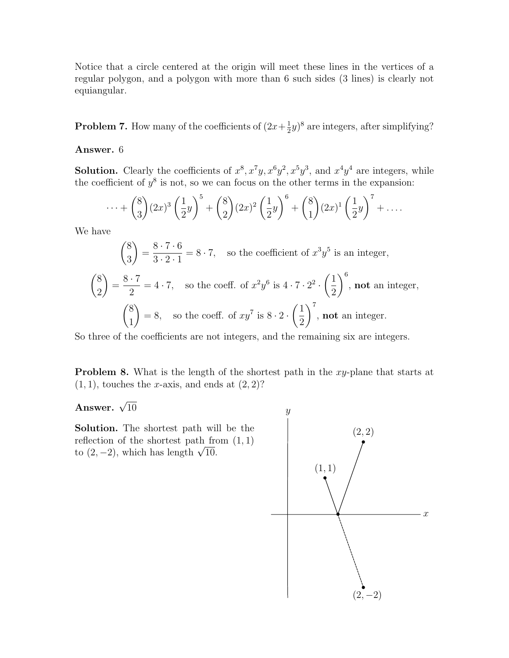Notice that a circle centered at the origin will meet these lines in the vertices of a regular polygon, and a polygon with more than 6 such sides (3 lines) is clearly not equiangular.

**Problem 7.** How many of the coefficients of  $(2x + \frac{1}{2})$  $(\frac{1}{2}y)^8$  are integers, after simplifying?

## Answer. 6

**Solution.** Clearly the coefficients of  $x^8$ ,  $x^7y$ ,  $x^6y^2$ ,  $x^5y^3$ , and  $x^4y^4$  are integers, while the coefficient of  $y^8$  is not, so we can focus on the other terms in the expansion:

$$
\cdots + {8 \choose 3} (2x)^3 \left(\frac{1}{2}y\right)^5 + {8 \choose 2} (2x)^2 \left(\frac{1}{2}y\right)^6 + {8 \choose 1} (2x)^1 \left(\frac{1}{2}y\right)^7 + \cdots
$$

We have

$$
\binom{8}{3} = \frac{8 \cdot 7 \cdot 6}{3 \cdot 2 \cdot 1} = 8 \cdot 7,
$$
 so the coefficient of  $x^3 y^5$  is an integer,  

$$
\binom{8}{2} = \frac{8 \cdot 7}{2} = 4 \cdot 7,
$$
 so the coeff. of  $x^2 y^6$  is  $4 \cdot 7 \cdot 2^2 \cdot \left(\frac{1}{2}\right)^6$ , **not** an integer,  

$$
\binom{8}{1} = 8,
$$
 so the coeff. of  $xy^7$  is  $8 \cdot 2 \cdot \left(\frac{1}{2}\right)^7$ , **not** an integer.

So three of the coefficients are not integers, and the remaining six are integers.

**Problem 8.** What is the length of the shortest path in the xy-plane that starts at  $(1, 1)$ , touches the x-axis, and ends at  $(2, 2)$ ?

Answer.  $\sqrt{10}$ 

Solution. The shortest path will be the reflection of the shortest path from  $(1, 1)$ renection or the shortest path in<br>to  $(2, -2)$ , which has length  $\sqrt{10}$ .

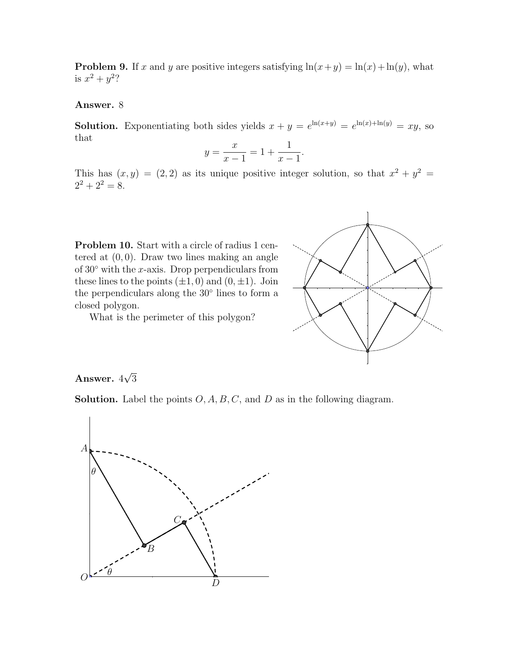**Problem 9.** If x and y are positive integers satisfying  $ln(x+y) = ln(x) + ln(y)$ , what is  $x^2 + y^2$ ?

## Answer. 8

**Solution.** Exponentiating both sides yields  $x + y = e^{\ln(x+y)} = e^{\ln(x)+\ln(y)} = xy$ , so that

$$
y = \frac{x}{x - 1} = 1 + \frac{1}{x - 1}.
$$

This has  $(x, y) = (2, 2)$  as its unique positive integer solution, so that  $x^2 + y^2 =$  $2^2 + 2^2 = 8$ .

**Problem 10.** Start with a circle of radius 1 centered at  $(0, 0)$ . Draw two lines making an angle of  $30°$  with the x-axis. Drop perpendiculars from these lines to the points  $(\pm 1, 0)$  and  $(0, \pm 1)$ . Join the perpendiculars along the 30◦ lines to form a closed polygon.

What is the perimeter of this polygon?



## Answer. 4 √ 3

**Solution.** Label the points  $O, A, B, C$ , and  $D$  as in the following diagram.